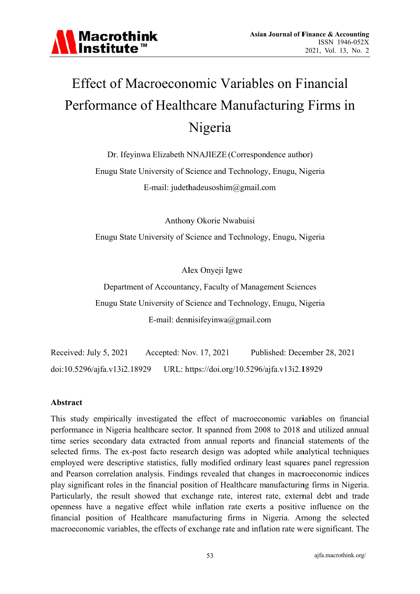

# **Effect of Macroeconomic Variables on Financial** Performance of Healthcare Manufacturing Firms in Nigeria

Dr. Ifeyinwa Elizabeth NNAJIEZE (Correspondence author)

Enugu State University of Science and Technology, Enugu, Nigeria E-mail: judethadeusoshim@gmail.com

Anthony Okorie Nwabuisi

Enugu State University of Science and Technology, Enugu, Nigeria

Alex Onyeji Igwe

Department of Accountancy, Faculty of Management Sciences Enugu State University of Science and Technology, Enugu, Nigeria E-mail: dennisifeyinwa@gmail.com

Received: July 5, 2021 Accepted: Nov. 17, 2021 Published: December 28, 2021 URL: https://doi.org/10.5296/ajfa.v13i2.18929 doi:10.5296/ajfa.v13i2.18929

#### **Abstract**

This study empirically investigated the effect of macroeconomic variables on financial performance in Nigeria healthcare sector. It spanned from 2008 to 2018 and utilized annual time series secondary data extracted from annual reports and financial statements of the selected firms. The ex-post facto research design was adopted while analytical techniques employed were descriptive statistics, fully modified ordinary least squares panel regression and Pearson correlation analysis. Findings revealed that changes in macroeconomic indices play significant roles in the financial position of Healthcare manufacturing firms in Nigeria. Particularly, the result showed that exchange rate, interest rate, external debt and trade openness have a negative effect while inflation rate exerts a positive influence on the financial position of Healthcare manufacturing firms in Nigeria. Among the selected macroeconomic variables, the effects of exchange rate and inflation rate were significant. The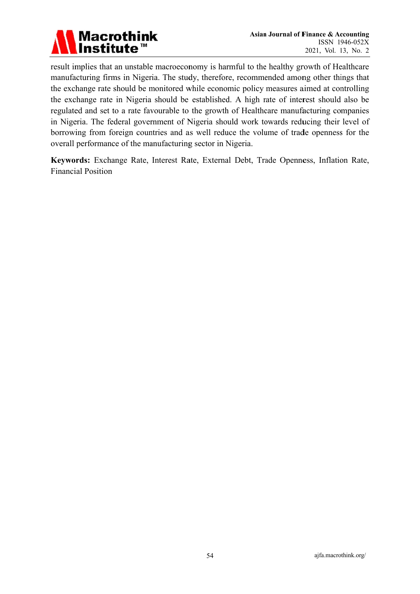

result implies that an unstable macroeconomy is harmful to the healthy growth of Healthcare manufacturing firms in Nigeria. The study, therefore, recommended among other things that the exchange rate should be monitored while economic policy measures aimed at controlling the exchange rate in Nigeria should be established. A high rate of interest should also be regulated and set to a rate favourable to the growth of Healthcare manufacturing companies in Nigeria. The federal government of Nigeria should work towards reducing their level of borrowing from foreign countries and as well reduce the volume of trade openness for the overall performance of the manufacturing sector in Nigeria.

Keywords: Exchange Rate, Interest Rate, External Debt, Trade Openness, Inflation Rate, **Financial Position**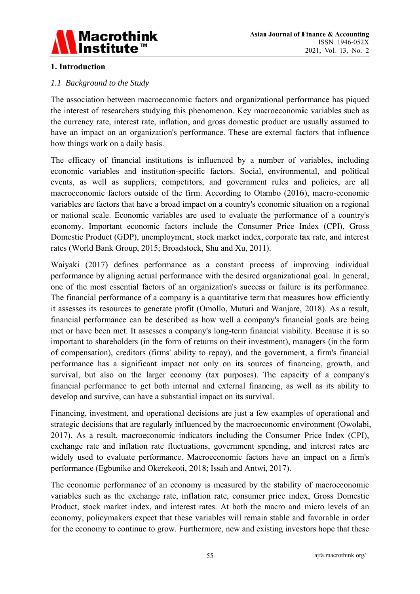

#### 1. Introduction

#### 1.1 Background to the Study

The association between macroeconomic factors and organizational performance has piqued the interest of researchers studying this phenomenon. Key macroeconomic variables such as the currency rate, interest rate, inflation, and gross domestic product are usually assumed to have an impact on an organization's performance. These are external factors that influence how things work on a daily basis.

The efficacy of financial institutions is influenced by a number of variables, including economic variables and institution-specific factors. Social, environmental, and political events, as well as suppliers, competitors, and government rules and policies, are all macroeconomic factors outside of the firm. According to Otambo (2016), macro-economic variables are factors that have a broad impact on a country's economic situation on a regional or national scale. Economic variables are used to evaluate the performance of a country's economy. Important economic factors include the Consumer Price Index (CPI), Gross Domestic Product (GDP), unemployment, stock market index, corporate tax rate, and interest rates (World Bank Group, 2015; Broadstock, Shu and Xu, 2011).

Waiyaki (2017) defines performance as a constant process of improving individual performance by aligning actual performance with the desired organizational goal. In general, one of the most essential factors of an organization's success or failure is its performance. The financial performance of a company is a quantitative term that measures how efficiently it assesses its resources to generate profit (Omollo, Muturi and Wanjare, 2018). As a result, financial performance can be described as how well a company's financial goals are being met or have been met. It assesses a company's long-term financial viability. Because it is so important to shareholders (in the form of returns on their investment), managers (in the form of compensation), creditors (firms' ability to repay), and the government, a firm's financial performance has a significant impact not only on its sources of financing, growth, and survival, but also on the larger economy (tax purposes). The capacity of a company's financial performance to get both internal and external financing, as well as its ability to develop and survive, can have a substantial impact on its survival.

Financing, investment, and operational decisions are just a few examples of operational and strategic decisions that are regularly influenced by the macroeconomic environment (Owolabi, 2017). As a result, macroeconomic indicators including the Consumer Price Index (CPI), exchange rate and inflation rate fluctuations, government spending, and interest rates are widely used to evaluate performance. Macroeconomic factors have an impact on a firm's performance (Egbunike and Okerekeoti, 2018; Issah and Antwi, 2017).

The economic performance of an economy is measured by the stability of macroeconomic variables such as the exchange rate, inflation rate, consumer price index, Gross Domestic Product, stock market index, and interest rates. At both the macro and micro levels of an economy, policymakers expect that these variables will remain stable and favorable in order for the economy to continue to grow. Furthermore, new and existing investors hope that these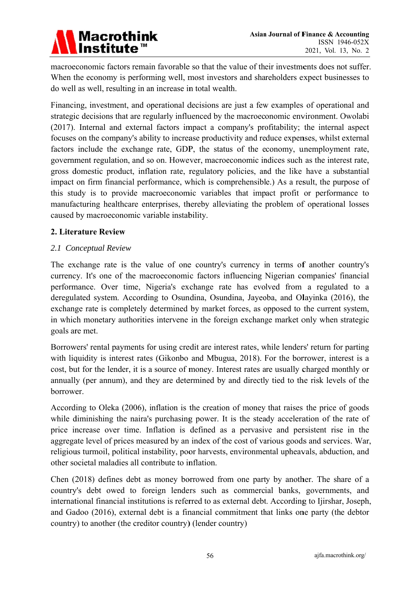

macroeconomic factors remain favorable so that the value of their investments does not suffer. When the economy is performing well, most investors and shareholders expect businesses to do well as well, resulting in an increase in total wealth.

Financing, investment, and operational decisions are just a few examples of operational and strategic decisions that are regularly influenced by the macroeconomic environment. Owolabi (2017). Internal and external factors impact a company's profitability; the internal aspect focuses on the company's ability to increase productivity and reduce expenses, whilst external factors include the exchange rate, GDP, the status of the economy, unemployment rate, government regulation, and so on. However, macroeconomic indices such as the interest rate, gross domestic product, inflation rate, regulatory policies, and the like have a substantial impact on firm financial performance, which is comprehensible.) As a result, the purpose of this study is to provide macroeconomic variables that impact profit or performance to manufacturing healthcare enterprises, thereby alleviating the problem of operational losses caused by macroeconomic variable instability.

#### 2. Literature Review

#### 2.1 Conceptual Review

The exchange rate is the value of one country's currency in terms of another country's currency. It's one of the macroeconomic factors influencing Nigerian companies' financial performance. Over time, Nigeria's exchange rate has evolved from a regulated to a deregulated system. According to Osundina, Osundina, Jayeoba, and Olayinka (2016), the exchange rate is completely determined by market forces, as opposed to the current system, in which monetary authorities intervene in the foreign exchange market only when strategic goals are met.

Borrowers' rental payments for using credit are interest rates, while lenders' return for parting with liquidity is interest rates (Gikonbo and Mbugua, 2018). For the borrower, interest is a cost, but for the lender, it is a source of money. Interest rates are usually charged monthly or annually (per annum), and they are determined by and directly tied to the risk levels of the horrower.

According to Oleka (2006), inflation is the creation of money that raises the price of goods while diminishing the naira's purchasing power. It is the steady acceleration of the rate of price increase over time. Inflation is defined as a pervasive and persistent rise in the aggregate level of prices measured by an index of the cost of various goods and services. War, religious turmoil, political instability, poor harvests, environmental upheavals, abduction, and other societal maladies all contribute to inflation.

Chen (2018) defines debt as money borrowed from one party by another. The share of a country's debt owed to foreign lenders such as commercial banks, governments, and international financial institutions is referred to as external debt. According to Ijirshar, Joseph, and Gadoo (2016), external debt is a financial commitment that links one party (the debtor country) to another (the creditor country) (lender country)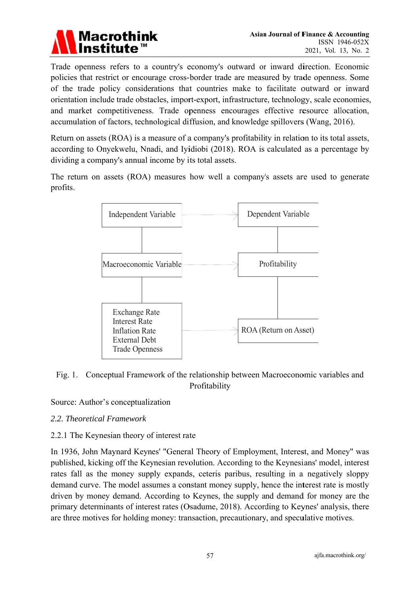

Trade openness refers to a country's economy's outward or inward direction. Economic policies that restrict or encourage cross-border trade are measured by trade openness. Some of the trade policy considerations that countries make to facilitate outward or inward orientation include trade obstacles, import-export, infrastructure, technology, scale economies, and market competitiveness. Trade openness encourages effective resource allocation, accumulation of factors, technological diffusion, and knowledge spillovers (Wang, 2016).

Return on assets (ROA) is a measure of a company's profitability in relation to its total assets, according to Onyekwelu, Nnadi, and Iyidiobi (2018). ROA is calculated as a percentage by dividing a company's annual income by its total assets.

The return on assets (ROA) measures how well a company's assets are used to generate profits.



#### Fig. 1. Conceptual Framework of the relationship between Macroeconomic variables and Profitability

Source: Author's conceptualization

#### 2.2. Theoretical Framework

#### 2.2.1 The Keynesian theory of interest rate

In 1936, John Maynard Keynes' "General Theory of Employment, Interest, and Money" was published, kicking off the Keynesian revolution. According to the Keynesians' model, interest rates fall as the money supply expands, ceteris paribus, resulting in a negatively sloppy demand curve. The model assumes a constant money supply, hence the interest rate is mostly driven by money demand. According to Keynes, the supply and demand for money are the primary determinants of interest rates (Osadume, 2018). According to Keynes' analysis, there are three motives for holding money: transaction, precautionary, and speculative motives.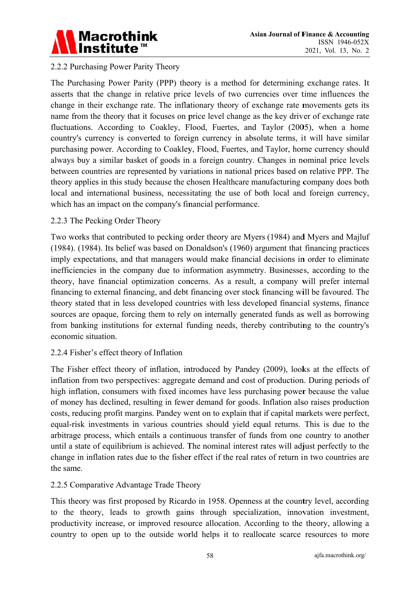

#### 2.2.2 Purchasing Power Parity Theory

The Purchasing Power Parity (PPP) theory is a method for determining exchange rates. It asserts that the change in relative price levels of two currencies over time influences the change in their exchange rate. The inflationary theory of exchange rate movements gets its name from the theory that it focuses on price level change as the key driver of exchange rate fluctuations. According to Coakley, Flood, Fuertes, and Taylor (2005), when a home country's currency is converted to foreign currency in absolute terms, it will have similar purchasing power. According to Coakley, Flood, Fuertes, and Taylor, home currency should always buy a similar basket of goods in a foreign country. Changes in nominal price levels between countries are represented by variations in national prices based on relative PPP. The theory applies in this study because the chosen Healthcare manufacturing company does both local and international business, necessitating the use of both local and foreign currency, which has an impact on the company's financial performance.

#### 2.2.3 The Pecking Order Theory

Two works that contributed to pecking order theory are Myers (1984) and Myers and Majluf (1984). (1984). Its belief was based on Donaldson's (1960) argument that financing practices imply expectations, and that managers would make financial decisions in order to eliminate inefficiencies in the company due to information asymmetry. Businesses, according to the theory, have financial optimization concerns. As a result, a company will prefer internal financing to external financing, and debt financing over stock financing will be favoured. The theory stated that in less developed countries with less developed financial systems, finance sources are opaque, forcing them to rely on internally generated funds as well as borrowing from banking institutions for external funding needs, thereby contributing to the country's economic situation.

#### 2.2.4 Fisher's effect theory of Inflation

The Fisher effect theory of inflation, introduced by Pandey (2009), looks at the effects of inflation from two perspectives: aggregate demand and cost of production. During periods of high inflation, consumers with fixed incomes have less purchasing power because the value of money has declined, resulting in fewer demand for goods. Inflation also raises production costs, reducing profit margins. Pandey went on to explain that if capital markets were perfect, equal-risk investments in various countries should yield equal returns. This is due to the arbitrage process, which entails a continuous transfer of funds from one country to another until a state of equilibrium is achieved. The nominal interest rates will adjust perfectly to the change in inflation rates due to the fisher effect if the real rates of return in two countries are the same.

#### 2.2.5 Comparative Advantage Trade Theory

This theory was first proposed by Ricardo in 1958. Openness at the country level, according to the theory, leads to growth gains through specialization, innovation investment, productivity increase, or improved resource allocation. According to the theory, allowing a country to open up to the outside world helps it to reallocate scarce resources to more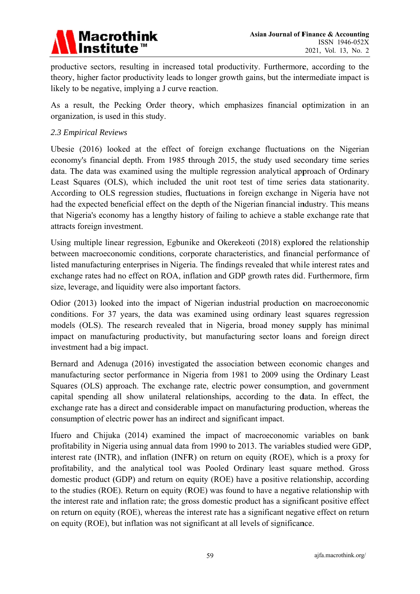

productive sectors, resulting in increased total productivity. Furthermore, according to the theory, higher factor productivity leads to longer growth gains, but the intermediate impact is likely to be negative, implying a J curve reaction.

As a result, the Pecking Order theory, which emphasizes financial optimization in an organization, is used in this study.

#### 2.3 Empirical Reviews

Ubesie (2016) looked at the effect of foreign exchange fluctuations on the Nigerian economy's financial depth. From 1985 through 2015, the study used secondary time series data. The data was examined using the multiple regression analytical approach of Ordinary Least Squares (OLS), which included the unit root test of time series data stationarity. According to OLS regression studies, fluctuations in foreign exchange in Nigeria have not had the expected beneficial effect on the depth of the Nigerian financial industry. This means that Nigeria's economy has a lengthy history of failing to achieve a stable exchange rate that attracts foreign investment.

Using multiple linear regression, Egbunike and Okerekeoti (2018) explored the relationship between macroeconomic conditions, corporate characteristics, and financial performance of listed manufacturing enterprises in Nigeria. The findings revealed that while interest rates and exchange rates had no effect on ROA, inflation and GDP growth rates did. Furthermore, firm size, leverage, and liquidity were also important factors.

Odior (2013) looked into the impact of Nigerian industrial production on macroeconomic conditions. For 37 years, the data was examined using ordinary least squares regression models (OLS). The research revealed that in Nigeria, broad money supply has minimal impact on manufacturing productivity, but manufacturing sector loans and foreign direct investment had a big impact.

Bernard and Adenuga (2016) investigated the association between economic changes and manufacturing sector performance in Nigeria from 1981 to 2009 using the Ordinary Least Squares (OLS) approach. The exchange rate, electric power consumption, and government capital spending all show unilateral relationships, according to the data. In effect, the exchange rate has a direct and considerable impact on manufacturing production, whereas the consumption of electric power has an indirect and significant impact.

Ifuero and Chijuka (2014) examined the impact of macroeconomic variables on bank profitability in Nigeria using annual data from 1990 to 2013. The variables studied were GDP, interest rate (INTR), and inflation (INFR) on return on equity (ROE), which is a proxy for profitability, and the analytical tool was Pooled Ordinary least square method. Gross domestic product (GDP) and return on equity (ROE) have a positive relationship, according to the studies (ROE). Return on equity (ROE) was found to have a negative relationship with the interest rate and inflation rate; the gross domestic product has a significant positive effect on return on equity (ROE), whereas the interest rate has a significant negative effect on return on equity (ROE), but inflation was not significant at all levels of significance.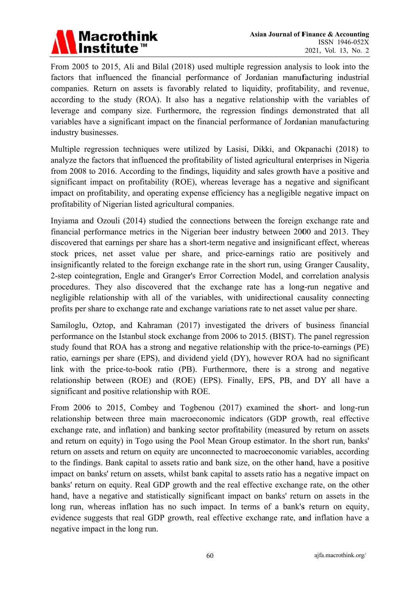

From 2005 to 2015, Ali and Bilal (2018) used multiple regression analysis to look into the factors that influenced the financial performance of Jordanian manufacturing industrial companies. Return on assets is favorably related to liquidity, profitability, and revenue, according to the study (ROA). It also has a negative relationship with the variables of leverage and company size. Furthermore, the regression findings demonstrated that all variables have a significant impact on the financial performance of Jordanian manufacturing industry businesses.

Multiple regression techniques were utilized by Lasisi, Dikki, and Okpanachi (2018) to analyze the factors that influenced the profitability of listed agricultural enterprises in Nigeria from 2008 to 2016. According to the findings, liquidity and sales growth have a positive and significant impact on profitability (ROE), whereas leverage has a negative and significant impact on profitability, and operating expense efficiency has a negligible negative impact on profitability of Nigerian listed agricultural companies.

Inviama and Ozouli (2014) studied the connections between the foreign exchange rate and financial performance metrics in the Nigerian beer industry between 2000 and 2013. They discovered that earnings per share has a short-term negative and insignificant effect, whereas stock prices, net asset value per share, and price-earnings ratio are positively and insignificantly related to the foreign exchange rate in the short run, using Granger Causality, 2-step cointegration, Engle and Granger's Error Correction Model, and correlation analysis procedures. They also discovered that the exchange rate has a long-run negative and negligible relationship with all of the variables, with unidirectional causality connecting profits per share to exchange rate and exchange variations rate to net asset value per share.

Samiloglu, Oztop, and Kahraman (2017) investigated the drivers of business financial performance on the Istanbul stock exchange from 2006 to 2015. (BIST). The panel regression study found that ROA has a strong and negative relationship with the price-to-earnings (PE) ratio, earnings per share (EPS), and dividend yield (DY), however ROA had no significant link with the price-to-book ratio (PB). Furthermore, there is a strong and negative relationship between (ROE) and (ROE) (EPS). Finally, EPS, PB, and DY all have a significant and positive relationship with ROE.

From 2006 to 2015, Combey and Togbenou (2017) examined the short- and long-run relationship between three main macroeconomic indicators (GDP growth, real effective exchange rate, and inflation) and banking sector profitability (measured by return on assets and return on equity) in Togo using the Pool Mean Group estimator. In the short run, banks' return on assets and return on equity are unconnected to macroeconomic variables, according to the findings. Bank capital to assets ratio and bank size, on the other hand, have a positive impact on banks' return on assets, whilst bank capital to assets ratio has a negative impact on banks' return on equity. Real GDP growth and the real effective exchange rate, on the other hand, have a negative and statistically significant impact on banks' return on assets in the long run, whereas inflation has no such impact. In terms of a bank's return on equity, evidence suggests that real GDP growth, real effective exchange rate, and inflation have a negative impact in the long run.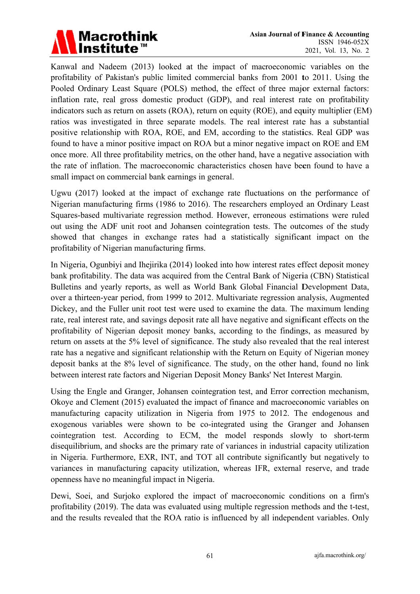

Kanwal and Nadeem (2013) looked at the impact of macroeconomic variables on the profitability of Pakistan's public limited commercial banks from 2001 to 2011. Using the Pooled Ordinary Least Square (POLS) method, the effect of three major external factors: inflation rate, real gross domestic product (GDP), and real interest rate on profitability indicators such as return on assets (ROA), return on equity (ROE), and equity multiplier (EM) ratios was investigated in three separate models. The real interest rate has a substantial positive relationship with ROA, ROE, and EM, according to the statistics. Real GDP was found to have a minor positive impact on ROA but a minor negative impact on ROE and EM once more. All three profitability metrics, on the other hand, have a negative association with the rate of inflation. The macroeconomic characteristics chosen have been found to have a small impact on commercial bank earnings in general.

Ugwu (2017) looked at the impact of exchange rate fluctuations on the performance of Nigerian manufacturing firms (1986 to 2016). The researchers employed an Ordinary Least Squares-based multivariate regression method. However, erroneous estimations were ruled out using the ADF unit root and Johansen cointegration tests. The outcomes of the study showed that changes in exchange rates had a statistically significant impact on the profitability of Nigerian manufacturing firms.

In Nigeria, Ogunbiyi and Ihejirika (2014) looked into how interest rates effect deposit money bank profitability. The data was acquired from the Central Bank of Nigeria (CBN) Statistical Bulletins and yearly reports, as well as World Bank Global Financial Development Data, over a thirteen-year period, from 1999 to 2012. Multivariate regression analysis, Augmented Dickey, and the Fuller unit root test were used to examine the data. The maximum lending rate, real interest rate, and savings deposit rate all have negative and significant effects on the profitability of Nigerian deposit money banks, according to the findings, as measured by return on assets at the 5% level of significance. The study also revealed that the real interest rate has a negative and significant relationship with the Return on Equity of Nigerian money deposit banks at the 8% level of significance. The study, on the other hand, found no link between interest rate factors and Nigerian Deposit Money Banks' Net Interest Margin.

Using the Engle and Granger, Johansen cointegration test, and Error correction mechanism, Okoye and Clement (2015) evaluated the impact of finance and macroeconomic variables on manufacturing capacity utilization in Nigeria from 1975 to 2012. The endogenous and exogenous variables were shown to be co-integrated using the Granger and Johansen cointegration test. According to ECM, the model responds slowly to short-term disequilibrium, and shocks are the primary rate of variances in industrial capacity utilization in Nigeria. Furthermore, EXR, INT, and TOT all contribute significantly but negatively to variances in manufacturing capacity utilization, whereas IFR, external reserve, and trade openness have no meaningful impact in Nigeria.

Dewi, Soei, and Surjoko explored the impact of macroeconomic conditions on a firm's profitability (2019). The data was evaluated using multiple regression methods and the t-test, and the results revealed that the ROA ratio is influenced by all independent variables. Only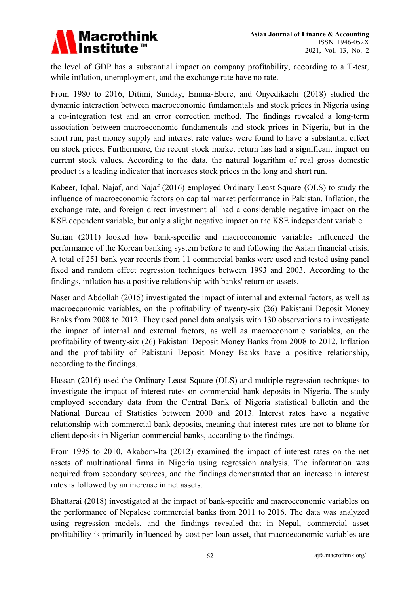

the level of GDP has a substantial impact on company profitability, according to a T-test, while inflation, unemployment, and the exchange rate have no rate.

From 1980 to 2016, Ditimi, Sunday, Emma-Ebere, and Onyedikachi (2018) studied the dynamic interaction between macroeconomic fundamentals and stock prices in Nigeria using a co-integration test and an error correction method. The findings revealed a long-term association between macroeconomic fundamentals and stock prices in Nigeria, but in the short run, past money supply and interest rate values were found to have a substantial effect on stock prices. Furthermore, the recent stock market return has had a significant impact on current stock values. According to the data, the natural logarithm of real gross domestic product is a leading indicator that increases stock prices in the long and short run.

Kabeer, Iqbal, Najaf, and Najaf (2016) employed Ordinary Least Square (OLS) to study the influence of macroeconomic factors on capital market performance in Pakistan. Inflation, the exchange rate, and foreign direct investment all had a considerable negative impact on the KSE dependent variable, but only a slight negative impact on the KSE independent variable.

Sufian (2011) looked how bank-specific and macroeconomic variables influenced the performance of the Korean banking system before to and following the Asian financial crisis. A total of 251 bank year records from 11 commercial banks were used and tested using panel fixed and random effect regression techniques between 1993 and 2003. According to the findings, inflation has a positive relationship with banks' return on assets.

Naser and Abdollah (2015) investigated the impact of internal and external factors, as well as macroeconomic variables, on the profitability of twenty-six (26) Pakistani Deposit Money Banks from 2008 to 2012. They used panel data analysis with 130 observations to investigate the impact of internal and external factors, as well as macroeconomic variables, on the profitability of twenty-six (26) Pakistani Deposit Money Banks from 2008 to 2012. Inflation and the profitability of Pakistani Deposit Money Banks have a positive relationship, according to the findings.

Hassan (2016) used the Ordinary Least Square (OLS) and multiple regression techniques to investigate the impact of interest rates on commercial bank deposits in Nigeria. The study employed secondary data from the Central Bank of Nigeria statistical bulletin and the National Bureau of Statistics between 2000 and 2013. Interest rates have a negative relationship with commercial bank deposits, meaning that interest rates are not to blame for client deposits in Nigerian commercial banks, according to the findings.

From 1995 to 2010. Akabom-Ita (2012) examined the impact of interest rates on the net assets of multinational firms in Nigeria using regression analysis. The information was acquired from secondary sources, and the findings demonstrated that an increase in interest rates is followed by an increase in net assets.

Bhattarai (2018) investigated at the impact of bank-specific and macroeconomic variables on the performance of Nepalese commercial banks from 2011 to 2016. The data was analyzed using regression models, and the findings revealed that in Nepal, commercial asset profitability is primarily influenced by cost per loan asset, that macroeconomic variables are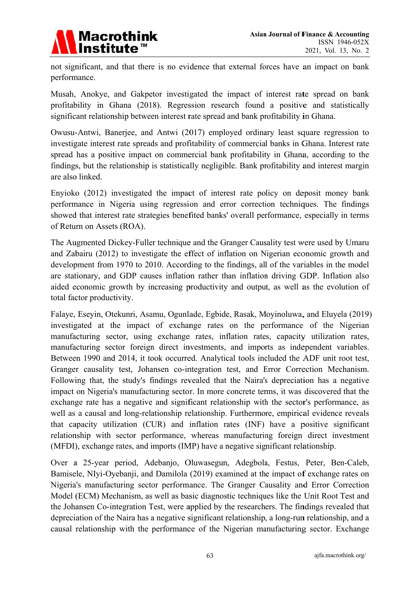

not significant, and that there is no evidence that external forces have an impact on bank performance.

Musah, Anokye, and Gakpetor investigated the impact of interest rate spread on bank profitability in Ghana (2018). Regression research found a positive and statistically significant relationship between interest rate spread and bank profitability in Ghana.

Owusu-Antwi, Banerjee, and Antwi (2017) employed ordinary least square regression to investigate interest rate spreads and profitability of commercial banks in Ghana. Interest rate spread has a positive impact on commercial bank profitability in Ghana, according to the findings, but the relationship is statistically negligible. Bank profitability and interest margin are also linked.

Envioko (2012) investigated the impact of interest rate policy on deposit money bank performance in Nigeria using regression and error correction techniques. The findings showed that interest rate strategies benefited banks' overall performance, especially in terms of Return on Assets (ROA).

The Augmented Dickey-Fuller technique and the Granger Causality test were used by Umaru and Zabairu (2012) to investigate the effect of inflation on Nigerian economic growth and development from 1970 to 2010. According to the findings, all of the variables in the model are stationary, and GDP causes inflation rather than inflation driving GDP. Inflation also aided economic growth by increasing productivity and output, as well as the evolution of total factor productivity.

Falave, Esevin, Otekunri, Asamu, Ogunlade, Egbide, Rasak, Movinoluwa, and Eluvela (2019) investigated at the impact of exchange rates on the performance of the Nigerian manufacturing sector, using exchange rates, inflation rates, capacity utilization rates, manufacturing sector foreign direct investments, and imports as independent variables. Between 1990 and 2014, it took occurred. Analytical tools included the ADF unit root test, Granger causality test, Johansen co-integration test, and Error Correction Mechanism. Following that, the study's findings revealed that the Naira's depreciation has a negative impact on Nigeria's manufacturing sector. In more concrete terms, it was discovered that the exchange rate has a negative and significant relationship with the sector's performance, as well as a causal and long-relationship relationship. Furthermore, empirical evidence reveals that capacity utilization (CUR) and inflation rates (INF) have a positive significant relationship with sector performance, whereas manufacturing foreign direct investment (MFDI), exchange rates, and imports (IMP) have a negative significant relationship.

Over a 25-year period, Adebanjo, Oluwasegun, Adegbola, Festus, Peter, Ben-Caleb, Bamisele, NIyi-Oyebanji, and Damilola (2019) examined at the impact of exchange rates on Nigeria's manufacturing sector performance. The Granger Causality and Error Correction Model (ECM) Mechanism, as well as basic diagnostic techniques like the Unit Root Test and the Johansen Co-integration Test, were applied by the researchers. The findings revealed that depreciation of the Naira has a negative significant relationship, a long-run relationship, and a causal relationship with the performance of the Nigerian manufacturing sector. Exchange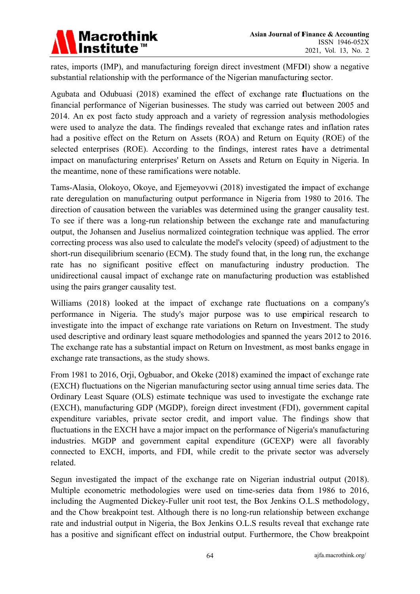

rates, imports (IMP), and manufacturing foreign direct investment (MFDI) show a negative substantial relationship with the performance of the Nigerian manufacturing sector.

Agubata and Odubuasi (2018) examined the effect of exchange rate fluctuations on the financial performance of Nigerian businesses. The study was carried out between 2005 and 2014. An ex post facto study approach and a variety of regression analysis methodologies were used to analyze the data. The findings revealed that exchange rates and inflation rates had a positive effect on the Return on Assets (ROA) and Return on Equity (ROE) of the selected enterprises (ROE). According to the findings, interest rates have a detrimental impact on manufacturing enterprises' Return on Assets and Return on Equity in Nigeria. In the meantime, none of these ramifications were notable.

Tams-Alasia, Olokoyo, Okoye, and Ejemeyovwi (2018) investigated the impact of exchange rate deregulation on manufacturing output performance in Nigeria from 1980 to 2016. The direction of causation between the variables was determined using the granger causality test. To see if there was a long-run relationship between the exchange rate and manufacturing output, the Johansen and Juselius normalized cointegration technique was applied. The error correcting process was also used to calculate the model's velocity (speed) of adjustment to the short-run disequilibrium scenario (ECM). The study found that, in the long run, the exchange rate has no significant positive effect on manufacturing industry production. The unidirectional causal impact of exchange rate on manufacturing production was established using the pairs granger causality test.

Williams (2018) looked at the impact of exchange rate fluctuations on a company's performance in Nigeria. The study's major purpose was to use empirical research to investigate into the impact of exchange rate variations on Return on Investment. The study used descriptive and ordinary least square methodologies and spanned the years 2012 to 2016. The exchange rate has a substantial impact on Return on Investment, as most banks engage in exchange rate transactions, as the study shows.

From 1981 to 2016, Orji, Ogbuabor, and Okeke (2018) examined the impact of exchange rate (EXCH) fluctuations on the Nigerian manufacturing sector using annual time series data. The Ordinary Least Square (OLS) estimate technique was used to investigate the exchange rate (EXCH), manufacturing GDP (MGDP), foreign direct investment (FDI), government capital expenditure variables, private sector credit, and import value. The findings show that fluctuations in the EXCH have a major impact on the performance of Nigeria's manufacturing industries. MGDP and government capital expenditure (GCEXP) were all favorably connected to EXCH, imports, and FDI, while credit to the private sector was adversely related.

Segun investigated the impact of the exchange rate on Nigerian industrial output (2018). Multiple econometric methodologies were used on time-series data from 1986 to 2016, including the Augmented Dickey-Fuller unit root test, the Box Jenkins O.L.S methodology, and the Chow breakpoint test. Although there is no long-run relationship between exchange rate and industrial output in Nigeria, the Box Jenkins O.L.S results reveal that exchange rate has a positive and significant effect on industrial output. Furthermore, the Chow breakpoint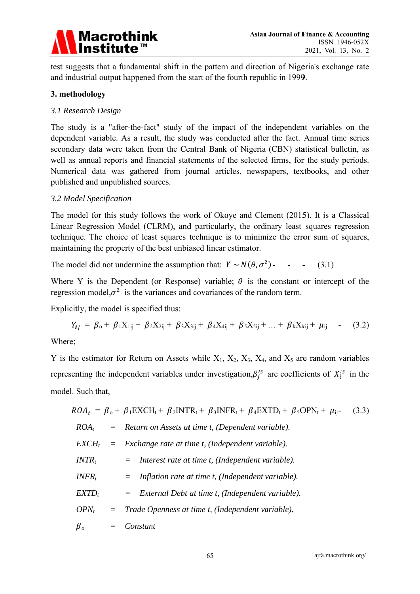

test suggests that a fundamental shift in the pattern and direction of Nigeria's exchange rate and industrial output happened from the start of the fourth republic in 1999.

#### 3. methodology

#### 3.1 Research Design

The study is a "after-the-fact" study of the impact of the independent variables on the dependent variable. As a result, the study was conducted after the fact. Annual time series secondary data were taken from the Central Bank of Nigeria (CBN) statistical bulletin, as well as annual reports and financial statements of the selected firms, for the study periods. Numerical data was gathered from journal articles, newspapers, textbooks, and other published and unpublished sources.

#### 3.2 Model Specification

The model for this study follows the work of Okoye and Clement (2015). It is a Classical Linear Regression Model (CLRM), and particularly, the ordinary least squares regression technique. The choice of least squares technique is to minimize the error sum of squares, maintaining the property of the best unbiased linear estimator.

The model did not undermine the assumption that:  $Y \sim N(\theta, \sigma^2)$  - - - $(3.1)$ 

Where Y is the Dependent (or Response) variable;  $\theta$  is the constant or intercept of the regression model, $\sigma^2$  is the variances and covariances of the random term.

Explicitly, the model is specified thus:

$$
Y_{ij} = \beta_{o} + \beta_{1}X_{1ij} + \beta_{2}X_{2ij} + \beta_{3}X_{3ij} + \beta_{4}X_{4ij} + \beta_{5}X_{5ij} + \ldots + \beta_{k}X_{kij} + \mu_{ij}
$$
 (3.2)

Where:

Y is the estimator for Return on Assets while  $X_1$ ,  $X_2$ ,  $X_3$ ,  $X_4$ , and  $X_5$  are random variables representing the independent variables under investigation,  $\beta_i^{s}$  are coefficients of  $X_i^{s}$  in the model. Such that,

$$
ROA_t = \beta_o + \beta_1 EXCH_t + \beta_2 INTR_t + \beta_3 INFR_t + \beta_4 EXTD_t + \beta_5 OPN_t + \mu_{ij}
$$
(3.3)  
\n
$$
ROA_t = Return on Assets at time t, (Dependent variable).
$$
  
\n
$$
EXCH_t = Exchange rate at time t, (Independent variable).
$$
  
\n
$$
INTR_t = Interest rate at time t, (Independent variable).
$$
  
\n
$$
INFR_t = Inflation rate at time t, (Independent variable).
$$
  
\n
$$
EXTD_t = External Debt at time t, (Independent variable).
$$
  
\n
$$
OPN_t = Trade Openness at time t, (Independent variable).
$$
  
\n
$$
\beta_o = Constant
$$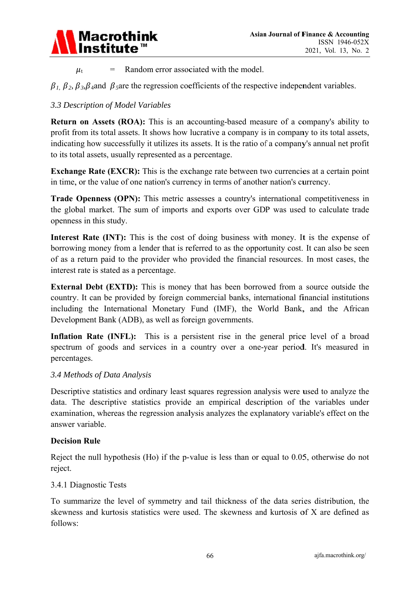

Random error associated with the model.  $=$  $\mu_{\rm t}$ 

 $\beta_1$ ,  $\beta_2$ ,  $\beta_3$ ,  $\beta_4$  and  $\beta_5$  are the regression coefficients of the respective independent variables.

### 3.3 Description of Model Variables

**Return on Assets (ROA):** This is an accounting-based measure of a company's ability to profit from its total assets. It shows how lucrative a company is in company to its total assets, indicating how successfully it utilizes its assets. It is the ratio of a company's annual net profit to its total assets, usually represented as a percentage.

**Exchange Rate (EXCR):** This is the exchange rate between two currencies at a certain point in time, or the value of one nation's currency in terms of another nation's currency.

**Trade Openness (OPN):** This metric assesses a country's international competitiveness in the global market. The sum of imports and exports over GDP was used to calculate trade openness in this study.

**Interest Rate (INT):** This is the cost of doing business with money. It is the expense of borrowing money from a lender that is referred to as the opportunity cost. It can also be seen of as a return paid to the provider who provided the financial resources. In most cases, the interest rate is stated as a percentage.

**External Debt (EXTD):** This is money that has been borrowed from a source outside the country. It can be provided by foreign commercial banks, international financial institutions including the International Monetary Fund (IMF), the World Bank, and the African Development Bank (ADB), as well as foreign governments.

Inflation Rate (INFL): This is a persistent rise in the general price level of a broad spectrum of goods and services in a country over a one-year period. It's measured in percentages.

#### 3.4 Methods of Data Analysis

Descriptive statistics and ordinary least squares regression analysis were used to analyze the data. The descriptive statistics provide an empirical description of the variables under examination, whereas the regression analysis analyzes the explanatory variable's effect on the answer variable

#### **Decision Rule**

Reject the null hypothesis (Ho) if the p-value is less than or equal to 0.05, otherwise do not reject.

#### 3.4.1 Diagnostic Tests

To summarize the level of symmetry and tail thickness of the data series distribution, the skewness and kurtosis statistics were used. The skewness and kurtosis of X are defined as follows: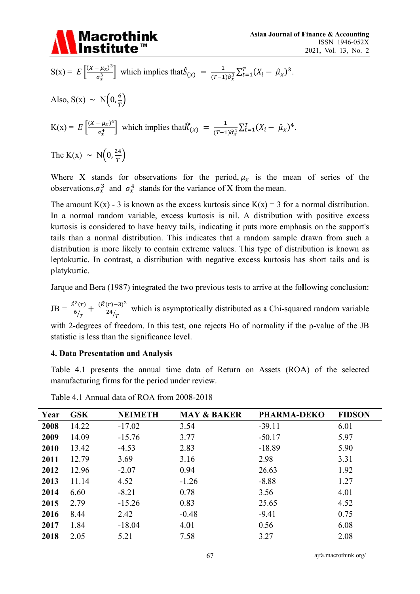

$$
S(x) = E\left[\frac{(x - \mu_x)^3}{\sigma_x^3}\right] \text{ which implies that } \hat{S}_{(x)} = \frac{1}{(T - 1)\hat{\sigma}_x^3} \sum_{t=1}^T (X_i - \hat{\mu}_x)^3.
$$
  
Also,  $S(x) \sim N\left(0, \frac{6}{T}\right)$   

$$
K(x) = E\left[\frac{(x - \mu_x)^4}{\sigma_x^4}\right] \text{ which implies that } \hat{K}_{(x)} = \frac{1}{(T - 1)\hat{\sigma}_x^4} \sum_{t=1}^T (X_i - \hat{\mu}_x)^4.
$$
  
The  $K(x) \sim N\left(0, \frac{24}{T}\right)$ 

Where X stands for observations for the period,  $\mu_x$  is the mean of series of the observations,  $\sigma_x^3$  and  $\sigma_x^4$  stands for the variance of X from the mean.

The amount  $K(x)$  - 3 is known as the excess kurtosis since  $K(x) = 3$  for a normal distribution. In a normal random variable, excess kurtosis is nil. A distribution with positive excess kurtosis is considered to have heavy tails, indicating it puts more emphasis on the support's tails than a normal distribution. This indicates that a random sample drawn from such a distribution is more likely to contain extreme values. This type of distribution is known as leptokurtic. In contrast, a distribution with negative excess kurtosis has short tails and is platykurtic.

Jarque and Bera (1987) integrated the two previous tests to arrive at the following conclusion:

 $JB = \frac{\hat{S}^2(r)}{6/r} + \frac{(\hat{K}(r)-3)^2}{24/r}$  which is asymptotically distributed as a Chi-squared random variable

with 2-degrees of freedom. In this test, one rejects Ho of normality if the p-value of the JB statistic is less than the significance level.

#### **4. Data Presentation and Analysis**

Table 4.1 presents the annual time data of Return on Assets (ROA) of the selected manufacturing firms for the period under review.

| Year | <b>GSK</b> | <b>NEIMETH</b> | <b>MAY &amp; BAKER</b> | <b>PHARMA-DEKO</b> | <b>FIDSON</b> |
|------|------------|----------------|------------------------|--------------------|---------------|
| 2008 | 14.22      | $-17.02$       | 3.54                   | $-39.11$           | 6.01          |
| 2009 | 14.09      | $-15.76$       | 3.77                   | $-50.17$           | 5.97          |
| 2010 | 13.42      | $-4.53$        | 2.83                   | $-18.89$           | 5.90          |
| 2011 | 12.79      | 3.69           | 3.16                   | 2.98               | 3.31          |
| 2012 | 12.96      | $-2.07$        | 0.94                   | 26.63              | 1.92          |
| 2013 | 11.14      | 4.52           | $-1.26$                | $-8.88$            | 1.27          |
| 2014 | 6.60       | $-8.21$        | 0.78                   | 3.56               | 4.01          |
| 2015 | 2.79       | $-15.26$       | 0.83                   | 25.65              | 4.52          |
| 2016 | 8.44       | 2.42           | $-0.48$                | $-9.41$            | 0.75          |
| 2017 | 1.84       | $-18.04$       | 4.01                   | 0.56               | 6.08          |
| 2018 | 2.05       | 5.21           | 7.58                   | 3.27               | 2.08          |

Table 4.1 Annual data of ROA from 2008-2018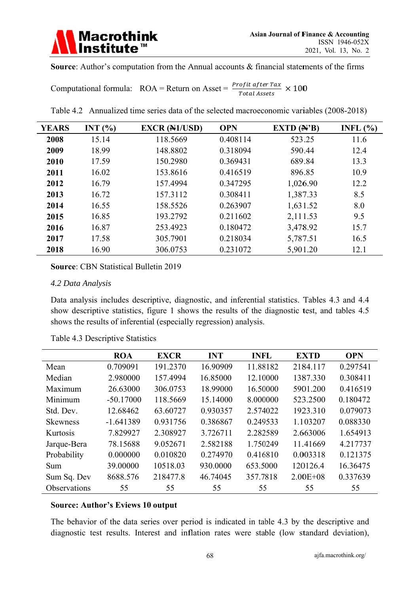

Source: Author's computation from the Annual accounts & financial statements of the firms

Computational formula: ROA = Return on Asset =  $\frac{Profit \text{ after Tax}}{Total \text{ Asset}}$  × 100

| Table 4.2 Annualized time series data of the selected macroeconomic variables (2008-2018) |  |  |  |
|-------------------------------------------------------------------------------------------|--|--|--|
|                                                                                           |  |  |  |

| <b>YEARS</b> | INT $(%)$ | <b>EXCR (N1/USD)</b> | <b>OPN</b> | EXTD $(\mathbb{A}^{\prime}B)$ | INFL $(\% )$ |
|--------------|-----------|----------------------|------------|-------------------------------|--------------|
| 2008         | 15.14     | 118.5669             | 0.408114   | 523.25                        | 11.6         |
| 2009         | 18.99     | 148.8802             | 0.318094   | 590.44                        | 12.4         |
| 2010         | 17.59     | 150.2980             | 0.369431   | 689.84                        | 13.3         |
| 2011         | 16.02     | 153.8616             | 0.416519   | 896.85                        | 10.9         |
| 2012         | 16.79     | 157.4994             | 0.347295   | 1,026.90                      | 12.2         |
| 2013         | 16.72     | 157.3112             | 0.308411   | 1,387.33                      | 8.5          |
| 2014         | 16.55     | 158.5526             | 0.263907   | 1,631.52                      | 8.0          |
| 2015         | 16.85     | 193.2792             | 0.211602   | 2,111.53                      | 9.5          |
| 2016         | 16.87     | 253.4923             | 0.180472   | 3,478.92                      | 15.7         |
| 2017         | 17.58     | 305.7901             | 0.218034   | 5,787.51                      | 16.5         |
| 2018         | 16.90     | 306.0753             | 0.231072   | 5,901.20                      | 12.1         |

**Source: CBN Statistical Bulletin 2019** 

#### 4.2 Data Analysis

Data analysis includes descriptive, diagnostic, and inferential statistics. Tables 4.3 and 4.4 show descriptive statistics, figure 1 shows the results of the diagnostic test, and tables 4.5 shows the results of inferential (especially regression) analysis.

|                 | <b>ROA</b>  | <b>EXCR</b> | <b>INT</b> | <b>INFL</b> | <b>EXTD</b>  | <b>OPN</b> |
|-----------------|-------------|-------------|------------|-------------|--------------|------------|
| Mean            | 0.709091    | 191.2370    | 16.90909   | 11.88182    | 2184.117     | 0.297541   |
| Median          | 2.980000    | 157.4994    | 16.85000   | 12.10000    | 1387.330     | 0.308411   |
| Maximum         | 26.63000    | 306.0753    | 18.99000   | 16.50000    | 5901.200     | 0.416519   |
| Minimum         | $-50.17000$ | 118.5669    | 15.14000   | 8.000000    | 523.2500     | 0.180472   |
| Std. Dev.       | 12.68462    | 63.60727    | 0.930357   | 2.574022    | 1923.310     | 0.079073   |
| <b>Skewness</b> | $-1.641389$ | 0.931756    | 0.386867   | 0.249533    | 1.103207     | 0.088330   |
| Kurtosis        | 7.829927    | 2.308927    | 3.726711   | 2.282589    | 2.663006     | 1.654913   |
| Jarque-Bera     | 78.15688    | 9.052671    | 2.582188   | 1.750249    | 11.41669     | 4.217737   |
| Probability     | 0.000000    | 0.010820    | 0.274970   | 0.416810    | 0.003318     | 0.121375   |
| Sum             | 39.00000    | 10518.03    | 930.0000   | 653.5000    | 120126.4     | 16.36475   |
| Sum Sq. Dev     | 8688.576    | 218477.8    | 46.74045   | 357.7818    | $2.00E + 08$ | 0.337639   |
| Observations    | 55          | 55          | 55         | 55          | 55           | 55         |

Table 4.3 Descriptive Statistics

#### **Source: Author's Eviews 10 output**

The behavior of the data series over period is indicated in table 4.3 by the descriptive and diagnostic test results. Interest and inflation rates were stable (low standard deviation),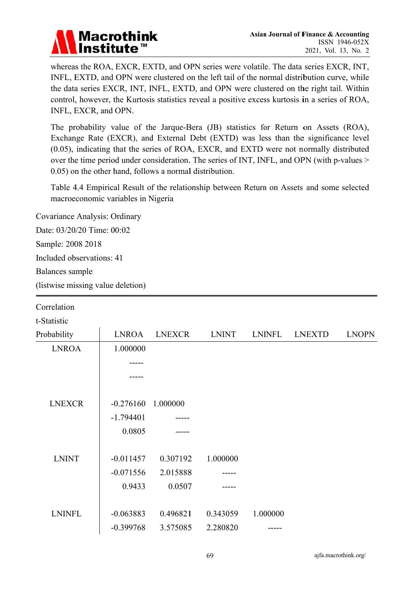## **Macrothink Institute™**

whereas the ROA, EXCR, EXTD, and OPN series were volatile. The data series EXCR, INT, INFL, EXTD, and OPN were clustered on the left tail of the normal distribution curve, while the data series EXCR, INT, INFL, EXTD, and OPN were clustered on the right tail. Within control, however, the Kurtosis statistics reveal a positive excess kurtosis in a series of ROA, INFL, EXCR, and OPN.

The probability value of the Jarque-Bera (JB) statistics for Return on Assets (ROA), Exchange Rate (EXCR), and External Debt (EXTD) was less than the significance level (0.05), indicating that the series of ROA, EXCR, and EXTD were not normally distributed over the time period under consideration. The series of INT, INFL, and OPN (with p-values > 0.05) on the other hand, follows a normal distribution.

Table 4.4 Empirical Result of the relationship between Return on Assets and some selected macroeconomic variables in Nigeria

Covariance Analysis: Ordinary

Date: 03/20/20 Time: 00:02

Sample: 2008 2018

Included observations: 41

Balances sample

(listwise missing value deletion)

| Correlation   |              |               |              |               |               |              |
|---------------|--------------|---------------|--------------|---------------|---------------|--------------|
| t-Statistic   |              |               |              |               |               |              |
| Probability   | <b>LNROA</b> | <b>LNEXCR</b> | <b>LNINT</b> | <b>LNINFL</b> | <b>LNEXTD</b> | <b>LNOPN</b> |
| <b>LNROA</b>  | 1.000000     |               |              |               |               |              |
|               |              |               |              |               |               |              |
|               |              |               |              |               |               |              |
|               |              |               |              |               |               |              |
| <b>LNEXCR</b> | $-0.276160$  | 1.000000      |              |               |               |              |
|               | $-1.794401$  |               |              |               |               |              |
|               | 0.0805       |               |              |               |               |              |
|               |              |               |              |               |               |              |
| <b>LNINT</b>  | $-0.011457$  | 0.307192      | 1.000000     |               |               |              |
|               | $-0.071556$  | 2.015888      |              |               |               |              |
|               | 0.9433       | 0.0507        |              |               |               |              |
|               |              |               |              |               |               |              |
| <b>LNINFL</b> | $-0.063883$  | 0.496821      | 0.343059     | 1.000000      |               |              |
|               | $-0.399768$  | 3.575085      | 2.280820     |               |               |              |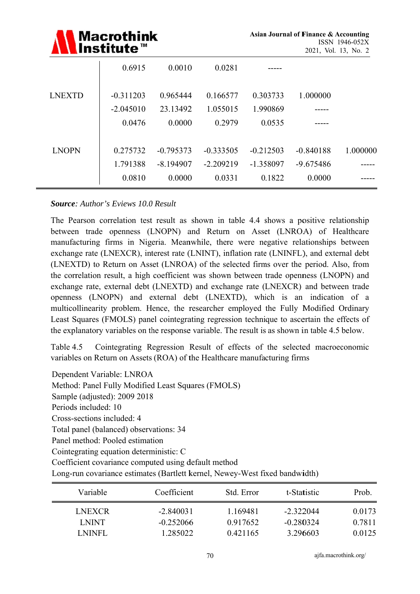|               | <b>Macrothink</b><br>Institute <sup>™</sup> |             | Asian Journal of Finance & Accounting<br>2021, Vol. 13, No. 2 | ISSN 1946-052X |             |          |
|---------------|---------------------------------------------|-------------|---------------------------------------------------------------|----------------|-------------|----------|
|               | 0.6915                                      | 0.0010      | 0.0281                                                        |                |             |          |
| <b>LNEXTD</b> | $-0.311203$                                 | 0.965444    | 0.166577                                                      | 0.303733       | 1.000000    |          |
|               | $-2.045010$                                 | 23.13492    | 1.055015                                                      | 1.990869       |             |          |
|               | 0.0476                                      | 0.0000      | 0.2979                                                        | 0.0535         |             |          |
| <b>LNOPN</b>  | 0.275732                                    | $-0.795373$ | $-0.333505$                                                   | $-0.212503$    | $-0.840188$ | 1.000000 |
|               | 1.791388                                    | $-8.194907$ | $-2.209219$                                                   | $-1.358097$    | $-9.675486$ |          |
|               | 0.0810                                      | 0.0000      | 0.0331                                                        | 0.1822         | 0.0000      |          |

#### **Source:** Author's Eviews 10.0 Result

The Pearson correlation test result as shown in table 4.4 shows a positive relationship between trade openness (LNOPN) and Return on Asset (LNROA) of Healthcare manufacturing firms in Nigeria. Meanwhile, there were negative relationships between exchange rate (LNEXCR), interest rate (LNINT), inflation rate (LNINFL), and external debt (LNEXTD) to Return on Asset (LNROA) of the selected firms over the period. Also, from the correlation result, a high coefficient was shown between trade openness (LNOPN) and exchange rate, external debt (LNEXTD) and exchange rate (LNEXCR) and between trade openness (LNOPN) and external debt (LNEXTD), which is an indication of a multicollinearity problem. Hence, the researcher employed the Fully Modified Ordinary Least Squares (FMOLS) panel cointegrating regression technique to ascertain the effects of the explanatory variables on the response variable. The result is as shown in table 4.5 below.

Table 4.5 Cointegrating Regression Result of effects of the selected macroeconomic variables on Return on Assets (ROA) of the Healthcare manufacturing firms

Dependent Variable: LNROA Method: Panel Fully Modified Least Squares (FMOLS) Sample (adjusted): 2009 2018 Periods included: 10 Cross-sections included: 4 Total panel (balanced) observations: 34 Panel method: Pooled estimation Cointegrating equation deterministic: C Coefficient covariance computed using default method

Long-run covariance estimates (Bartlett kernel, Newey-West fixed bandwidth)

| Variable      | Coefficient | Std. Error | t-Statistic | Prob.  |
|---------------|-------------|------------|-------------|--------|
| <b>LNEXCR</b> | $-2.840031$ | 1.169481   | $-2.322044$ | 0.0173 |
| LNINT.        | $-0.252066$ | 0.917652   | $-0.280324$ | 0.7811 |
| LNINFL        | 1.285022    | 0.421165   | 3.296603    | 0.0125 |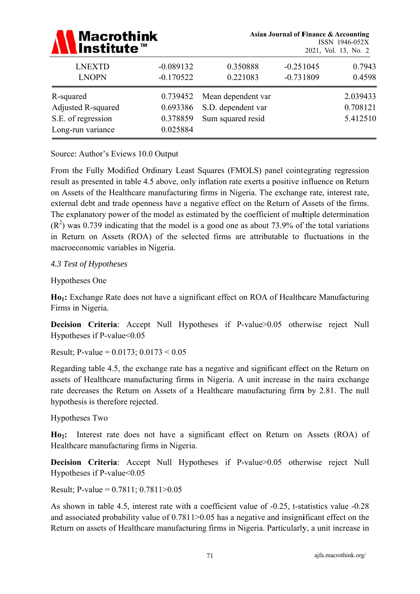| <b>Macrothink</b><br>Institute™                                            |                                              |                                                               | <b>Asian Journal of Finance &amp; Accounting</b> | ISSN 1946-052X<br>2021, Vol. 13, No. 2 |  |
|----------------------------------------------------------------------------|----------------------------------------------|---------------------------------------------------------------|--------------------------------------------------|----------------------------------------|--|
| <b>LNEXTD</b><br><b>LNOPN</b>                                              | $-0.089132$<br>$-0.170522$                   | 0.350888<br>0.221083                                          | $-0.251045$<br>$-0.731809$                       | 0.7943<br>0.4598                       |  |
| R-squared<br>Adjusted R-squared<br>S.E. of regression<br>Long-run variance | 0.739452<br>0.693386<br>0.378859<br>0.025884 | Mean dependent var<br>S.D. dependent var<br>Sum squared resid |                                                  | 2.039433<br>0.708121<br>5.412510       |  |

Source: Author's Eviews 10.0 Output

From the Fully Modified Ordinary Least Squares (FMOLS) panel cointegrating regression result as presented in table 4.5 above, only inflation rate exerts a positive influence on Return on Assets of the Healthcare manufacturing firms in Nigeria. The exchange rate, interest rate, external debt and trade openness have a negative effect on the Return of Assets of the firms. The explanatory power of the model as estimated by the coefficient of multiple determination  $(R<sup>2</sup>)$  was 0.739 indicating that the model is a good one as about 73.9% of the total variations in Return on Assets (ROA) of the selected firms are attributable to fluctuations in the macroeconomic variables in Nigeria.

#### 4.3 Test of Hypotheses

**Hypotheses One** 

Ho<sub>1</sub>: Exchange Rate does not have a significant effect on ROA of Healthcare Manufacturing Firms in Nigeria.

Decision Criteria: Accept Null Hypotheses if P-value>0.05 otherwise reject Null Hypotheses if P-value<0.05

Result; P-value =  $0.0173$ ;  $0.0173 < 0.05$ 

Regarding table 4.5, the exchange rate has a negative and significant effect on the Return on assets of Healthcare manufacturing firms in Nigeria. A unit increase in the naira exchange rate decreases the Return on Assets of a Healthcare manufacturing firm by 2.81. The null hypothesis is therefore rejected.

Hypotheses Two

Ho<sub>2</sub>: Interest rate does not have a significant effect on Return on Assets (ROA) of Healthcare manufacturing firms in Nigeria.

Decision Criteria: Accept Null Hypotheses if P-value>0.05 otherwise reject Null Hypotheses if  $P-value<0.05$ 

Result; P-value =  $0.7811$ ;  $0.7811 > 0.05$ 

As shown in table 4.5, interest rate with a coefficient value of -0.25, t-statistics value -0.28 and associated probability value of  $0.7811 > 0.05$  has a negative and insignificant effect on the Return on assets of Healthcare manufacturing firms in Nigeria. Particularly, a unit increase in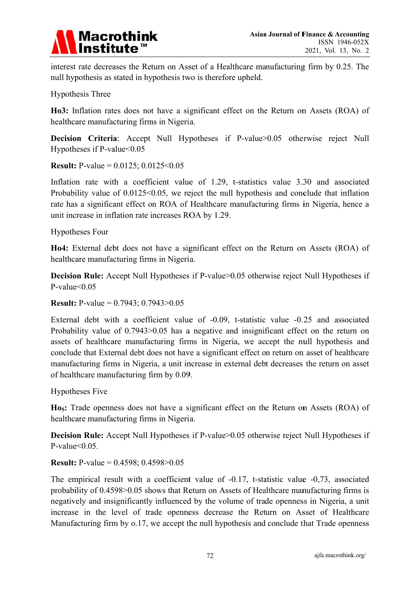

interest rate decreases the Return on Asset of a Healthcare manufacturing firm by 0.25. The null hypothesis as stated in hypothesis two is therefore upheld.

**Hypothesis Three** 

Ho3: Inflation rates does not have a significant effect on the Return on Assets (ROA) of healthcare manufacturing firms in Nigeria.

Decision Criteria: Accept Null Hypotheses if P-value>0.05 otherwise reject Null Hypotheses if P-value $< 0.05$ 

**Result:** P-value =  $0.0125$ ;  $0.0125 < 0.05$ 

Inflation rate with a coefficient value of 1.29, t-statistics value 3.30 and associated Probability value of  $0.0125 \le 0.05$ , we reject the null hypothesis and conclude that inflation rate has a significant effect on ROA of Healthcare manufacturing firms in Nigeria, hence a unit increase in inflation rate increases ROA by 1.29.

**Hypotheses Four** 

Ho4: External debt does not have a significant effect on the Return on Assets (ROA) of healthcare manufacturing firms in Nigeria.

**Decision Rule:** Accept Null Hypotheses if P-value>0.05 otherwise reject Null Hypotheses if P-value $< 0.05$ 

**Result:** P-value =  $0.7943$ ;  $0.7943$  >  $0.05$ 

External debt with a coefficient value of -0.09, t-statistic value -0.25 and associated Probability value of 0.7943>0.05 has a negative and insignificant effect on the return on assets of healthcare manufacturing firms in Nigeria, we accept the null hypothesis and conclude that External debt does not have a significant effect on return on asset of healthcare manufacturing firms in Nigeria, a unit increase in external debt decreases the return on asset of healthcare manufacturing firm by 0.09.

**Hypotheses Five** 

Ho<sub>5</sub>: Trade openness does not have a significant effect on the Return on Assets (ROA) of healthcare manufacturing firms in Nigeria.

**Decision Rule:** Accept Null Hypotheses if P-value>0.05 otherwise reject Null Hypotheses if P-value $\leq 0.05$ .

**Result:** P-value =  $0.4598$ ;  $0.4598 > 0.05$ 

The empirical result with a coefficient value of -0.17, t-statistic value -0.73, associated probability of 0.4598>0.05 shows that Return on Assets of Healthcare manufacturing firms is negatively and insignificantly influenced by the volume of trade openness in Nigeria, a unit increase in the level of trade openness decrease the Return on Asset of Healthcare Manufacturing firm by 0.17, we accept the null hypothesis and conclude that Trade openness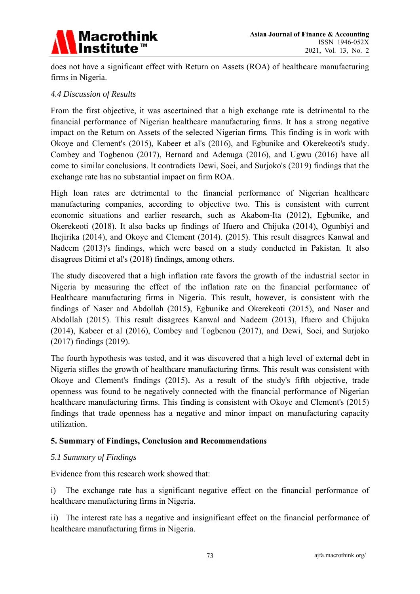

does not have a significant effect with Return on Assets (ROA) of healthcare manufacturing firms in Nigeria.

#### *4.4 Disc cussion of R Results*

From the first objective, it was ascertained that a high exchange rate is detrimental to the financial performance of Nigerian healthcare manufacturing firms. It has a strong negative impact on the Return on Assets of the selected Nigerian firms. This finding is in work with Okoye and Clement's (2015), Kabeer et al's (2016), and Egbunike and Okerekeoti's study. Combey and Togbenou (2017), Bernard and Adenuga (2016), and Ugwu (2016) have all come to similar conclusions. It contradicts Dewi, Soei, and Surjoko's (2019) findings that the exchange rate has no substantial impact on firm ROA.

High loan rates are detrimental to the financial performance of Nigerian healthcare manufacturing companies, according to objective two. This is consistent with current economic situations and earlier research, such as Akabom-Ita (2012), Egbunike, and Okerekeoti (2018). It also backs up findings of Ifuero and Chijuka (2014), Ogunbiyi and Ihejirika (2014), and Okoye and Clement (2014). (2015). This result disagrees Kanwal and Nadeem (2013)'s findings, which were based on a study conducted in Pakistan. It also disagrees Ditimi et al's (2018) findings, among others.

The study discovered that a high inflation rate favors the growth of the industrial sector in Nigeria by measuring the effect of the inflation rate on the financial performance of Healthcare manufacturing firms in Nigeria. This result, however, is consistent with the findings of Naser and Abdollah (2015), Egbunike and Okerekeoti (2015), and Naser and Abdollah (2015). This result disagrees Kanwal and Nadeem (2013), Ifuero and Chijuka (2014), Kabeer et al (2016), Combey and Togbenou (2017), and Dewi, Soei, and Surjoko (2017) findings (2019).

The fourth hypothesis was tested, and it was discovered that a high level of external debt in Nigeria stifles the growth of healthcare manufacturing firms. This result was consistent with Okoye and Clement's findings (2015). As a result of the study's fifth objective, trade openness was found to be negatively connected with the financial performance of Nigerian healthcare manufacturing firms. This finding is consistent with Okoye and Clement's (2015) findings that trade openness has a negative and minor impact on manufacturing capacity utilization.

#### **5. Summary of Findings, Conclusion and Recommendations**

#### *5.1 Sum mmary of Fi indings*

Evidence from this research work showed that:

i) The exchange rate has a significant negative effect on the financial performance of healthcare manufacturing firms in Nigeria.

ii) The interest rate has a negative and insignificant effect on the financial performance of healthcare manufacturing firms in Nigeria.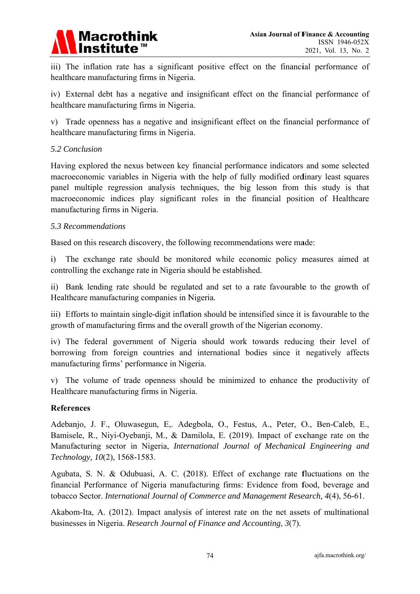

iii) The inflation rate has a significant positive effect on the financial performance of healthcare manufacturing firms in Nigeria.

iv) External debt has a negative and insignificant effect on the financial performance of healthcare manufacturing firms in Nigeria.

v) Trade openness has a negative and insignificant effect on the financial performance of healthcare manufacturing firms in Nigeria.

#### 5.2 Conclusion

Having explored the nexus between key financial performance indicators and some selected macroeconomic variables in Nigeria with the help of fully modified ordinary least squares panel multiple regression analysis techniques, the big lesson from this study is that macroeconomic indices play significant roles in the financial position of Healthcare manufacturing firms in Nigeria.

#### 5.3 Recommendations

Based on this research discovery, the following recommendations were made:

 $\mathbf{i}$ The exchange rate should be monitored while economic policy measures aimed at controlling the exchange rate in Nigeria should be established.

ii) Bank lending rate should be regulated and set to a rate favourable to the growth of Healthcare manufacturing companies in Nigeria.

iii) Efforts to maintain single-digit inflation should be intensified since it is favourable to the growth of manufacturing firms and the overall growth of the Nigerian economy.

iv) The federal government of Nigeria should work towards reducing their level of borrowing from foreign countries and international bodies since it negatively affects manufacturing firms' performance in Nigeria.

v) The volume of trade openness should be minimized to enhance the productivity of Healthcare manufacturing firms in Nigeria.

#### **References**

Adebanjo, J. F., Oluwasegun, E., Adegbola, O., Festus, A., Peter, O., Ben-Caleb, E., Bamisele, R., Niyi-Oyebanji, M., & Damilola, E. (2019). Impact of exchange rate on the Manufacturing sector in Nigeria, International Journal of Mechanical Engineering and Technology, 10(2), 1568-1583.

Agubata, S. N. & Odubuasi, A. C. (2018). Effect of exchange rate fluctuations on the financial Performance of Nigeria manufacturing firms: Evidence from food, beverage and tobacco Sector. International Journal of Commerce and Management Research, 4(4), 56-61.

Akabom-Ita, A. (2012). Impact analysis of interest rate on the net assets of multinational businesses in Nigeria. Research Journal of Finance and Accounting, 3(7).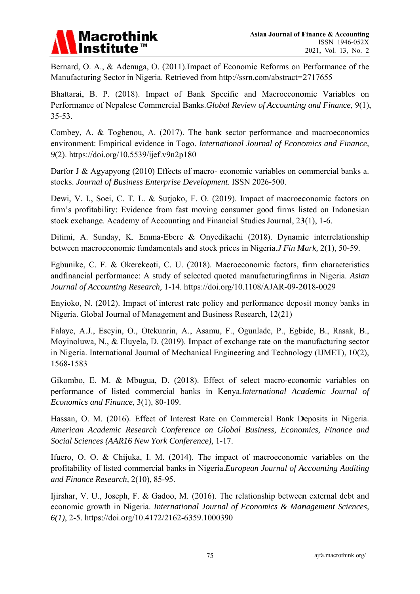

Bernard, O. A., & Adenuga, O. (2011). Impact of Economic Reforms on Performance of the Manufacturing Sector in Nigeria. Retrieved from http://ssrn.com/abstract=2717655

Bhattarai, B. P. (2018). Impact of Bank Specific and Macroeconomic Variables on Performance of Nepalese Commercial Banks. Global Review of Accounting and Finance, 9(1),  $35 - 53$ .

Combey, A. & Togbenou, A. (2017). The bank sector performance and macroeconomics environment: Empirical evidence in Togo. International Journal of Economics and Finance, 9(2). https://doi.org/10.5539/ijef.v9n2p180

Darfor J & Agyapyong (2010) Effects of macro-economic variables on commercial banks a. stocks. Journal of Business Enterprise Development. ISSN 2026-500.

Dewi, V. I., Soei, C. T. L. & Surjoko, F. O. (2019). Impact of macroeconomic factors on firm's profitability: Evidence from fast moving consumer good firms listed on Indonesian stock exchange. Academy of Accounting and Financial Studies Journal, 23(1), 1-6.

Ditimi, A. Sunday, K. Emma-Ebere & Onyedikachi (2018). Dynamic interrelationship between macroeconomic fundamentals and stock prices in Nigeria.*J Fin Mark*, 2(1), 50-59.

Egbunike, C. F. & Okerekeoti, C. U. (2018). Macroeconomic factors, firm characteristics andfinancial performance: A study of selected quoted manufacturingfirms in Nigeria. Asian Journal of Accounting Research, 1-14. https://doi.org/10.1108/AJAR-09-2018-0029

Enyioko, N. (2012). Impact of interest rate policy and performance deposit money banks in Nigeria. Global Journal of Management and Business Research, 12(21)

Falaye, A.J., Eseyin, O., Otekunrin, A., Asamu, F., Ogunlade, P., Egbide, B., Rasak, B., Moyinoluwa, N., & Eluyela, D. (2019). Impact of exchange rate on the manufacturing sector in Nigeria. International Journal of Mechanical Engineering and Technology (IJMET), 10(2), 1568-1583

Gikombo, E. M. & Mbugua, D. (2018). Effect of select macro-economic variables on performance of listed commercial banks in Kenya.International Academic Journal of Economics and Finance, 3(1), 80-109.

Hassan, O. M. (2016). Effect of Interest Rate on Commercial Bank Deposits in Nigeria. American Academic Research Conference on Global Business, Economics, Finance and Social Sciences (AAR16 New York Conference), 1-17.

Ifuero, O. O. & Chijuka, I. M. (2014). The impact of macroeconomic variables on the profitability of listed commercial banks in Nigeria.European Journal of Accounting Auditing and Finance Research, 2(10), 85-95.

Ijirshar, V. U., Joseph, F. & Gadoo, M. (2016). The relationship between external debt and economic growth in Nigeria. International Journal of Economics & Management Sciences,  $6(1)$ , 2-5. https://doi.org/10.4172/2162-6359.1000390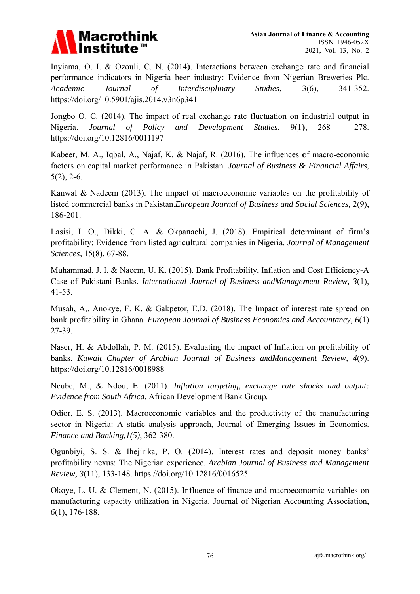

Inyiama, O. I. & Ozouli, C. N. (2014). Interactions between exchange rate and financial performance indicators in Nigeria beer industry: Evidence from Nigerian Breweries Plc. Academic Journal Interdisciplinary Studies, 341-352.  $\sigma f$  $3(6)$ , https://doi.org/10.5901/ajis.2014.v3n6p341

Jongbo O. C. (2014). The impact of real exchange rate fluctuation on industrial output in Policy Nigeria. Journal  $of$ and Development Studies,  $9(1)$ , 268  $\overline{a}$ 278. https://doi.org/10.12816/0011197

Kabeer, M. A., Igbal, A., Najaf, K. & Najaf, R. (2016). The influences of macro-economic factors on capital market performance in Pakistan. Journal of Business & Financial Affairs,  $5(2)$ , 2-6.

Kanwal & Nadeem (2013). The impact of macroeconomic variables on the profitability of listed commercial banks in Pakistan. European Journal of Business and Social Sciences, 2(9), 186-201.

Lasisi, I. O., Dikki, C. A. & Okpanachi, J. (2018). Empirical determinant of firm's profitability: Evidence from listed agricultural companies in Nigeria. Journal of Management Sciences, 15(8), 67-88.

Muhammad, J. I. & Naeem, U. K. (2015). Bank Profitability, Inflation and Cost Efficiency-A Case of Pakistani Banks. International Journal of Business andManagement Review, 3(1),  $41-53.$ 

Musah, A,. Anokye, F. K. & Gakpetor, E.D. (2018). The Impact of interest rate spread on bank profitability in Ghana. European Journal of Business Economics and Accountancy, 6(1) 27-39.

Naser, H. & Abdollah, P. M. (2015). Evaluating the impact of Inflation on profitability of banks. Kuwait Chapter of Arabian Journal of Business andManagement Review, 4(9). https://doi.org/10.12816/0018988

Neube, M., & Ndou, E. (2011). Inflation targeting, exchange rate shocks and output: Evidence from South Africa. African Development Bank Group.

Odior, E. S. (2013). Macroeconomic variables and the productivity of the manufacturing sector in Nigeria: A static analysis approach, Journal of Emerging Issues in Economics. Finance and Banking,  $l(5)$ , 362-380.

Ogunbivi, S. S. & Iheiirika, P. O. (2014). Interest rates and deposit money banks' profitability nexus: The Nigerian experience. Arabian Journal of Business and Management Review, 3(11), 133-148. https://doi.org/10.12816/0016525

Okove, L. U. & Clement, N. (2015). Influence of finance and macroeconomic variables on manufacturing capacity utilization in Nigeria. Journal of Nigerian Accounting Association,  $6(1)$ , 176-188.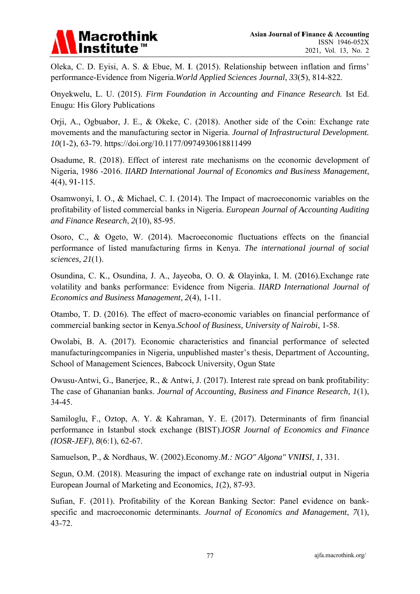

Oleka, C. D. Eyisi, A. S. & Ebue, M. I. (2015). Relationship between inflation and firms' performance-Evidence from Nigeria. World Applied Sciences Journal, 33(5), 814-822.

Onyekwelu, L. U. (2015). Firm Foundation in Accounting and Finance Research. Ist Ed. **Enugu: His Glory Publications** 

Orji, A., Ogbuabor, J. E., & Okeke, C. (2018). Another side of the Coin: Exchange rate movements and the manufacturing sector in Nigeria. Journal of Infrastructural Development. 10(1-2), 63-79. https://doi.org/10.1177/0974930618811499

Osadume, R. (2018). Effect of interest rate mechanisms on the economic development of Nigeria, 1986 -2016. IIARD International Journal of Economics and Business Management,  $4(4)$ , 91-115.

Osamwonyi, I. O., & Michael, C. I. (2014). The Impact of macroeconomic variables on the profitability of listed commercial banks in Nigeria. European Journal of Accounting Auditing and Finance Research, 2(10), 85-95.

Osoro, C., & Ogeto, W. (2014). Macroeconomic fluctuations effects on the financial performance of listed manufacturing firms in Kenya. The international journal of social sciences,  $2I(1)$ .

Osundina, C. K., Osundina, J. A., Jayeoba, O. O. & Olayinka, I. M. (2016). Exchange rate volatility and banks performance: Evidence from Nigeria. IIARD International Journal of Economics and Business Management, 2(4), 1-11.

Otambo, T. D. (2016). The effect of macro-economic variables on financial performance of commercial banking sector in Kenya.School of Business, University of Nairobi, 1-58.

Owolabi, B. A. (2017). Economic characteristics and financial performance of selected manufacturing companies in Nigeria, unpublished master's thesis, Department of Accounting, School of Management Sciences, Babcock University, Ogun State

Owusu-Antwi, G., Banerjee, R., & Antwi, J. (2017). Interest rate spread on bank profitability: The case of Ghananian banks. Journal of Accounting, Business and Finance Research, 1(1), 34-45.

Samiloglu, F., Oztop, A. Y. & Kahraman, Y. E. (2017). Determinants of firm financial performance in Istanbul stock exchange (BIST).IOSR Journal of Economics and Finance  $(IOSR-JEF), 8(6:1), 62-67.$ 

Samuelson, P., & Nordhaus, W. (2002). Economy.*M.: NGO" Algona" VNIISI*, 1, 331.

Segun, O.M. (2018). Measuring the impact of exchange rate on industrial output in Nigeria European Journal of Marketing and Economics, 1(2), 87-93.

Sufian, F. (2011). Profitability of the Korean Banking Sector: Panel evidence on bankspecific and macroeconomic determinants. Journal of Economics and Management, 7(1),  $43 - 72.$